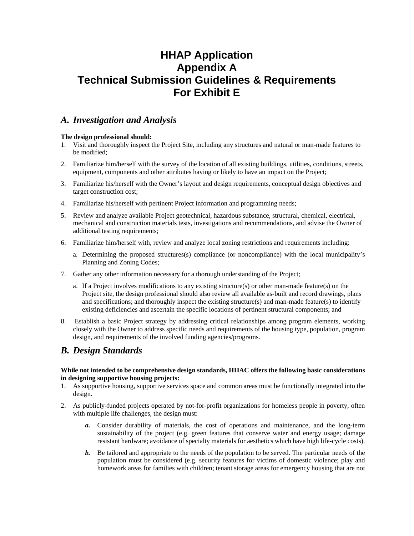# **HHAP Application Appendix A Technical Submission Guidelines & Requirements For Exhibit E**

## *A. Investigation and Analysis*

## **The design professional should:**

- 1. Visit and thoroughly inspect the Project Site, including any structures and natural or man-made features to be modified;
- 2. Familiarize him/herself with the survey of the location of all existing buildings, utilities, conditions, streets, equipment, components and other attributes having or likely to have an impact on the Project;
- 3. Familiarize his/herself with the Owner's layout and design requirements, conceptual design objectives and target construction cost;
- 4. Familiarize his/herself with pertinent Project information and programming needs;
- 5. Review and analyze available Project geotechnical, hazardous substance, structural, chemical, electrical, mechanical and construction materials tests, investigations and recommendations, and advise the Owner of additional testing requirements;
- 6. Familiarize him/herself with, review and analyze local zoning restrictions and requirements including:
	- a. Determining the proposed structures(s) compliance (or noncompliance) with the local municipality's Planning and Zoning Codes;
- 7. Gather any other information necessary for a thorough understanding of the Project;
	- a. If a Project involves modifications to any existing structure(s) or other man-made feature(s) on the Project site, the design professional should also review all available as-built and record drawings, plans and specifications; and thoroughly inspect the existing structure(s) and man-made feature(s) to identify existing deficiencies and ascertain the specific locations of pertinent structural components; and
- 8. Establish a basic Project strategy by addressing critical relationships among program elements, working closely with the Owner to address specific needs and requirements of the housing type, population, program design, and requirements of the involved funding agencies/programs.

## *B. Design Standards*

#### **While not intended to be comprehensive design standards, HHAC offers the following basic considerations in designing supportive housing projects:**

- 1. As supportive housing, supportive services space and common areas must be functionally integrated into the design.
- 2. As publicly-funded projects operated by not-for-profit organizations for homeless people in poverty, often with multiple life challenges, the design must:
	- *a.* Consider durability of materials, the cost of operations and maintenance, and the long-term sustainability of the project (e.g. green features that conserve water and energy usage; damage resistant hardware; avoidance of specialty materials for aesthetics which have high life-cycle costs).
	- *b.* Be tailored and appropriate to the needs of the population to be served. The particular needs of the population must be considered (e.g. security features for victims of domestic violence; play and homework areas for families with children; tenant storage areas for emergency housing that are not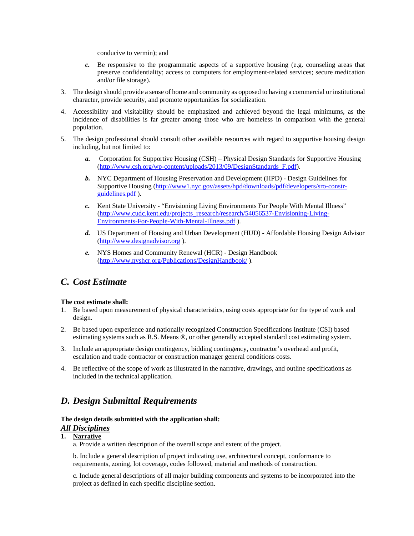conducive to vermin); and

- *c.* Be responsive to the programmatic aspects of a supportive housing (e.g. counseling areas that preserve confidentiality; access to computers for employment-related services; secure medication and/or file storage).
- 3. The design should provide a sense of home and community as opposed to having a commercial or institutional character, provide security, and promote opportunities for socialization.
- 4. Accessibility and visitability should be emphasized and achieved beyond the legal minimums, as the incidence of disabilities is far greater among those who are homeless in comparison with the general population.
- 5. The design professional should consult other available resources with regard to supportive housing design including, but not limited to:
	- *a.* Corporation for Supportive Housing (CSH) Physical Design Standards for Supportive Housing [\(http://www.csh.org/wp-content/uploads/2013/09/DesignStandards\\_F.pdf\)](http://www.csh.org/wp-content/uploads/2013/09/DesignStandards_F.pdf).
	- *b.* NYC Department of Housing Preservation and Development (HPD) Design Guidelines for Supportive Housing [\(http://www1.nyc.gov/assets/hpd/downloads/pdf/developers/sro-constr](http://www1.nyc.gov/assets/hpd/downloads/pdf/developers/sro-constr-guidelines.pdf)[guidelines.pdf](http://www1.nyc.gov/assets/hpd/downloads/pdf/developers/sro-constr-guidelines.pdf) ).
	- *c.* Kent State University "Envisioning Living Environments For People With Mental Illness" [\(http://www.cudc.kent.edu/projects\\_research/research/54056537-Envisioning-Living-](http://www.cudc.kent.edu/projects_research/research/54056537-Envisioning-Living-Environments-For-People-With-Mental-Illness.pdf)[Environments-For-People-With-Mental-Illness.pdf](http://www.cudc.kent.edu/projects_research/research/54056537-Envisioning-Living-Environments-For-People-With-Mental-Illness.pdf) ).
	- *d.* US Department of Housing and Urban Development (HUD) Affordable Housing Design Advisor [\(http://www.designadvisor.org](http://www.designadvisor.org/) ).
	- *e.* NYS Homes and Community Renewal (HCR) Design Handbook [\(http://www.nyshcr.org/Publications/DesignHandbook/](http://www.nyshcr.org/Publications/DesignHandbook/) ).

## *C. Cost Estimate*

#### **The cost estimate shall:**

- 1. Be based upon measurement of physical characteristics, using costs appropriate for the type of work and design.
- 2. Be based upon experience and nationally recognized Construction Specifications Institute (CSI) based estimating systems such as R.S. Means ®, or other generally accepted standard cost estimating system.
- 3. Include an appropriate design contingency, bidding contingency, contractor's overhead and profit, escalation and trade contractor or construction manager general conditions costs.
- 4. Be reflective of the scope of work as illustrated in the narrative, drawings, and outline specifications as included in the technical application.

## *D. Design Submittal Requirements*

#### **The design details submitted with the application shall:** *All Disciplines*

#### **1. Narrative**

a. Provide a written description of the overall scope and extent of the project.

b. Include a general description of project indicating use, architectural concept, conformance to requirements, zoning, lot coverage, codes followed, material and methods of construction.

c. Include general descriptions of all major building components and systems to be incorporated into the project as defined in each specific discipline section.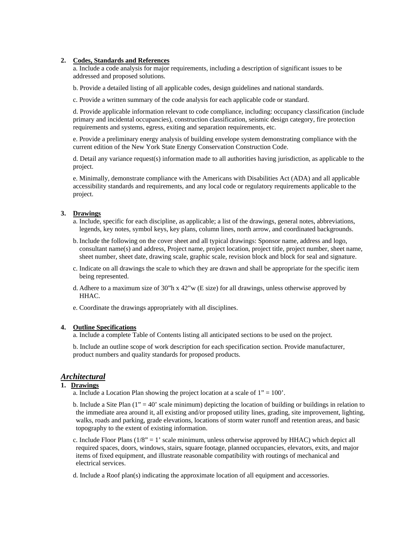#### **2. Codes, Standards and References**

a. Include a code analysis for major requirements, including a description of significant issues to be addressed and proposed solutions.

- b. Provide a detailed listing of all applicable codes, design guidelines and national standards.
- c. Provide a written summary of the code analysis for each applicable code or standard.

d. Provide applicable information relevant to code compliance, including: occupancy classification (include primary and incidental occupancies), construction classification, seismic design category, fire protection requirements and systems, egress, exiting and separation requirements, etc.

e. Provide a preliminary energy analysis of building envelope system demonstrating compliance with the current edition of the New York State Energy Conservation Construction Code.

d. Detail any variance request(s) information made to all authorities having jurisdiction, as applicable to the project.

e. Minimally, demonstrate compliance with the Americans with Disabilities Act (ADA) and all applicable accessibility standards and requirements, and any local code or regulatory requirements applicable to the project.

## **3. Drawings**

- a. Include, specific for each discipline, as applicable; a list of the drawings, general notes, abbreviations, legends, key notes, symbol keys, key plans, column lines, north arrow, and coordinated backgrounds.
- b. Include the following on the cover sheet and all typical drawings: Sponsor name, address and logo, consultant name(s) and address, Project name, project location, project title, project number, sheet name, sheet number, sheet date, drawing scale, graphic scale, revision block and block for seal and signature.
- c. Indicate on all drawings the scale to which they are drawn and shall be appropriate for the specific item being represented.
- d. Adhere to a maximum size of 30"h x 42"w (E size) for all drawings, unless otherwise approved by HHAC.
- e. Coordinate the drawings appropriately with all disciplines.

#### **4. Outline Specifications**

a. Include a complete Table of Contents listing all anticipated sections to be used on the project.

b. Include an outline scope of work description for each specification section. Provide manufacturer, product numbers and quality standards for proposed products.

#### *Architectural*

#### **1. Drawings**

- a. Include a Location Plan showing the project location at a scale of  $1" = 100"$ .
- b. Include a Site Plan  $(1<sup>n</sup> = 40<sup>n</sup>$  scale minimum) depicting the location of building or buildings in relation to the immediate area around it, all existing and/or proposed utility lines, grading, site improvement, lighting, walks, roads and parking, grade elevations, locations of storm water runoff and retention areas, and basic topography to the extent of existing information.
- c. Include Floor Plans  $(1/8<sup>n</sup> = 1<sup>n</sup>$  scale minimum, unless otherwise approved by HHAC) which depict all required spaces, doors, windows, stairs, square footage, planned occupancies, elevators, exits, and major items of fixed equipment, and illustrate reasonable compatibility with routings of mechanical and electrical services.

d. Include a Roof plan(s) indicating the approximate location of all equipment and accessories.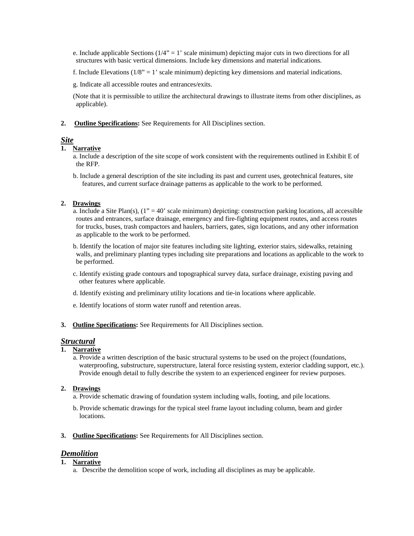e. Include applicable Sections  $(1/4" = 1"$  scale minimum) depicting major cuts in two directions for all structures with basic vertical dimensions. Include key dimensions and material indications.

f. Include Elevations  $(1/8)$ <sup>\*</sup> = 1<sup>°</sup> scale minimum) depicting key dimensions and material indications.

g. Indicate all accessible routes and entrances/exits.

(Note that it is permissible to utilize the architectural drawings to illustrate items from other disciplines, as applicable).

**2. Outline Specifications:** See Requirements for All Disciplines section.

## *Site*

### **1. Narrative**

a. Include a description of the site scope of work consistent with the requirements outlined in Exhibit E of the RFP.

b. Include a general description of the site including its past and current uses, geotechnical features, site features, and current surface drainage patterns as applicable to the work to be performed.

#### **2. Drawings**

a. Include a Site Plan(s),  $(1<sup>n</sup> = 40<sup>n</sup>$  scale minimum) depicting: construction parking locations, all accessible routes and entrances, surface drainage, emergency and fire-fighting equipment routes, and access routes for trucks, buses, trash compactors and haulers, barriers, gates, sign locations, and any other information as applicable to the work to be performed.

b. Identify the location of major site features including site lighting, exterior stairs, sidewalks, retaining walls, and preliminary planting types including site preparations and locations as applicable to the work to be performed.

- c. Identify existing grade contours and topographical survey data, surface drainage, existing paving and other features where applicable.
- d. Identify existing and preliminary utility locations and tie-in locations where applicable.
- e. Identify locations of storm water runoff and retention areas.
- **3. Outline Specifications:** See Requirements for All Disciplines section.

#### *Structural*

## **1. Narrative**

a. Provide a written description of the basic structural systems to be used on the project (foundations, waterproofing, substructure, superstructure, lateral force resisting system, exterior cladding support, etc.). Provide enough detail to fully describe the system to an experienced engineer for review purposes.

#### **2. Drawings**

a. Provide schematic drawing of foundation system including walls, footing, and pile locations.

- b. Provide schematic drawings for the typical steel frame layout including column, beam and girder locations.
- **3. Outline Specifications:** See Requirements for All Disciplines section.

## *Demolition*

- **1. Narrative** 
	- a. Describe the demolition scope of work, including all disciplines as may be applicable.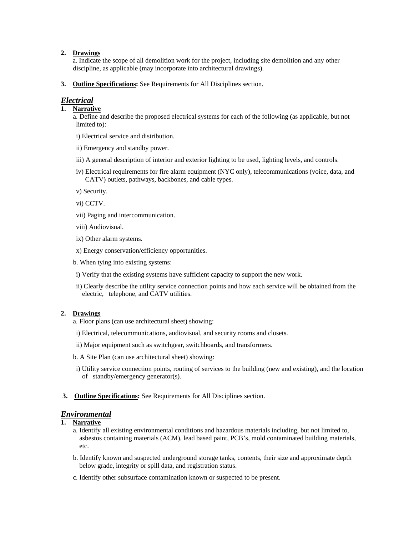## **2. Drawings**

a. Indicate the scope of all demolition work for the project, including site demolition and any other discipline, as applicable (may incorporate into architectural drawings).

**3. Outline Specifications:** See Requirements for All Disciplines section.

## *Electrical*

## **1. Narrative**

a. Define and describe the proposed electrical systems for each of the following (as applicable, but not limited to):

- i) Electrical service and distribution.
- ii) Emergency and standby power.
- iii) A general description of interior and exterior lighting to be used, lighting levels, and controls.
- iv) Electrical requirements for fire alarm equipment (NYC only), telecommunications (voice, data, and CATV) outlets, pathways, backbones, and cable types.
- v) Security.
- vi) CCTV.
- vii) Paging and intercommunication.
- viii) Audiovisual.
- ix) Other alarm systems.
- x) Energy conservation/efficiency opportunities.
- b. When tying into existing systems:
- i) Verify that the existing systems have sufficient capacity to support the new work.
- ii) Clearly describe the utility service connection points and how each service will be obtained from the electric, telephone, and CATV utilities.

## **2. Drawings**

- a. Floor plans (can use architectural sheet) showing:
- i) Electrical, telecommunications, audiovisual, and security rooms and closets.
- ii) Major equipment such as switchgear, switchboards, and transformers.
- b. A Site Plan (can use architectural sheet) showing:
- i) Utility service connection points, routing of services to the building (new and existing), and the location of standby/emergency generator(s).
- **3. Outline Specifications:** See Requirements for All Disciplines section.

## *Environmental*

#### **1. Narrative**

- a. Identify all existing environmental conditions and hazardous materials including, but not limited to, asbestos containing materials (ACM), lead based paint, PCB's, mold contaminated building materials, etc.
- b. Identify known and suspected underground storage tanks, contents, their size and approximate depth below grade, integrity or spill data, and registration status.
- c. Identify other subsurface contamination known or suspected to be present.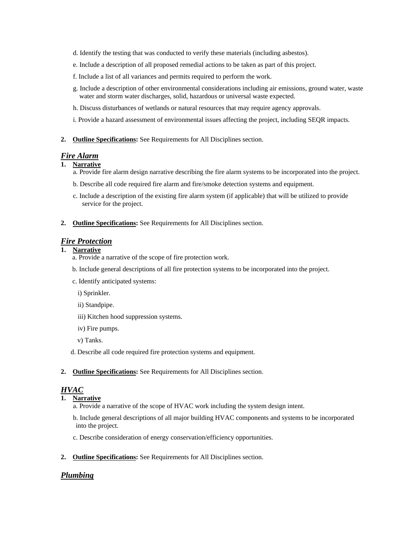- d. Identify the testing that was conducted to verify these materials (including asbestos).
- e. Include a description of all proposed remedial actions to be taken as part of this project.
- f. Include a list of all variances and permits required to perform the work.
- g. Include a description of other environmental considerations including air emissions, ground water, waste water and storm water discharges, solid, hazardous or universal waste expected.
- h. Discuss disturbances of wetlands or natural resources that may require agency approvals.
- i. Provide a hazard assessment of environmental issues affecting the project, including SEQR impacts.
- **2. Outline Specifications:** See Requirements for All Disciplines section.

### *Fire Alarm*

## **1. Narrative**

- a. Provide fire alarm design narrative describing the fire alarm systems to be incorporated into the project.
- b. Describe all code required fire alarm and fire/smoke detection systems and equipment.
- c. Include a description of the existing fire alarm system (if applicable) that will be utilized to provide service for the project.
- **2. Outline Specifications:** See Requirements for All Disciplines section.

#### *Fire Protection*

## **1. Narrative**

- a. Provide a narrative of the scope of fire protection work.
- b. Include general descriptions of all fire protection systems to be incorporated into the project.
- c. Identify anticipated systems:

i) Sprinkler.

- ii) Standpipe.
- iii) Kitchen hood suppression systems.
- iv) Fire pumps.
- v) Tanks.
- d. Describe all code required fire protection systems and equipment.
- **2. Outline Specifications:** See Requirements for All Disciplines section.

## *HVAC*

**1. Narrative** 

a. Provide a narrative of the scope of HVAC work including the system design intent.

- b. Include general descriptions of all major building HVAC components and systems to be incorporated into the project.
- c. Describe consideration of energy conservation/efficiency opportunities.
- **2. Outline Specifications:** See Requirements for All Disciplines section.

#### *Plumbing*